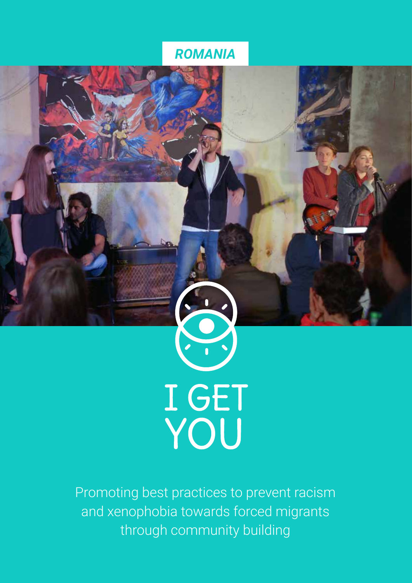### *ROMANIA*



Promoting best practices to prevent racism and xenophobia towards forced migrants through community building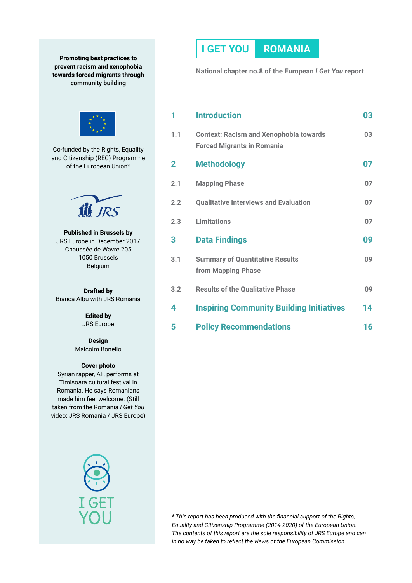**Promoting best practices to prevent racism and xenophobia towards forced migrants through community building**



Co-funded by the Rights, Equality and Citizenship (REC) Programme of the European Union\*



**Published in Brussels by** JRS Europe in December 2017 Chaussée de Wavre 205 1050 Brussels Belgium

**Drafted by** Bianca Albu with JRS Romania

> **Edited by** JRS Europe

**Design** Malcolm Bonello

#### **Cover photo**

Syrian rapper, Ali, performs at Timisoara cultural festival in Romania. He says Romanians made him feel welcome. (Still taken from the Romania *I Get You*  video: JRS Romania / JRS Europe)



### **I GET YOU ROMANIA**

**National chapter no.8 of the European** *I Get You* **report**

| 1   | <b>Introduction</b>                                                                | 03 |
|-----|------------------------------------------------------------------------------------|----|
| 1.1 | <b>Context: Racism and Xenophobia towards</b><br><b>Forced Migrants in Romania</b> | 03 |
| 2   | <b>Methodology</b>                                                                 | 07 |
| 2.1 | <b>Mapping Phase</b>                                                               | 07 |
| 2.2 | <b>Qualitative Interviews and Evaluation</b>                                       | 07 |
| 2.3 | <b>Limitations</b>                                                                 | 07 |
| 3   | <b>Data Findings</b>                                                               | 09 |
| 3.1 | <b>Summary of Quantitative Results</b><br>from Mapping Phase                       | 09 |
| 3.2 | <b>Results of the Qualitative Phase</b>                                            | 09 |
| 4   | <b>Inspiring Community Building Initiatives</b>                                    | 14 |
| 5   | <b>Policy Recommendations</b>                                                      | 16 |

*\* This report has been produced with the financial support of the Rights, Equality and Citizenship Programme (2014-2020) of the European Union. The contents of this report are the sole responsibility of JRS Europe and can in no way be taken to reflect the views of the European Commission.*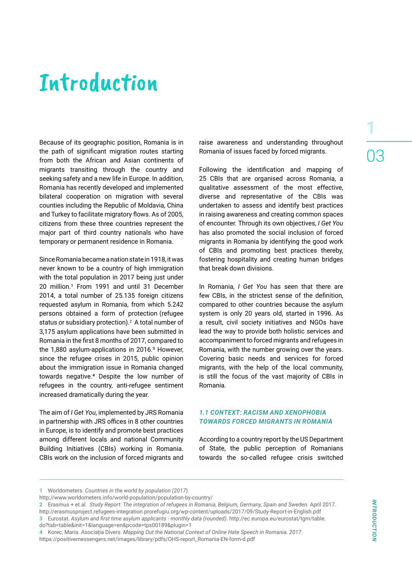## Introduction

Because of its geographic position, Romania is in the path of significant migration routes starting from both the African and Asian continents of migrants transiting through the country and seeking safety and a new life in Europe. In addition, Romania has recently developed and implemented bilateral cooperation on migration with several counties including the Republic of Moldavia, China and Turkey to facilitate migratory flows. As of 2005, citizens from these three countries represent the major part of third country nationals who have temporary or permanent residence in Romania.

Since Romania became a nation state in 1918, it was never known to be a country of high immigration with the total population in 2017 being just under 20 million.<sup>1</sup> From 1991 and until 31 December 2014, a total number of 25.135 foreign citizens requested asylum in Romania, from which 5.242 persons obtained a form of protection (refugee status or subsidiary protection). $<sup>2</sup>$  A total number of</sup> 3,175 asylum applications have been submitted in Romania in the first 8 months of 2017, compared to the  $1,880$  asylum-applications in  $2016.3$  However, since the refugee crises in 2015, public opinion about the immigration issue in Romania changed towards negative.4 Despite the low number of refugees in the country, anti-refugee sentiment increased dramatically during the year.

The aim of *I Get You*, implemented by JRS Romania in partnership with JRS offices in 8 other countries in Europe, is to identify and promote best practices among different locals and national Community Building Initiatives (CBIs) working in Romania. CBIs work on the inclusion of forced migrants and raise awareness and understanding throughout Romania of issues faced by forced migrants.

Following the identification and mapping of 25 CBIs that are organised across Romania, a qualitative assessment of the most effective, diverse and representative of the CBIs was undertaken to assess and identify best practices in raising awareness and creating common spaces of encounter. Through its own objectives, *I Get You* has also promoted the social inclusion of forced migrants in Romania by identifying the good work of CBIs and promoting best practices thereby, fostering hospitality and creating human bridges that break down divisions.

In Romania, *I Get You* has seen that there are few CBIs, in the strictest sense of the definition, compared to other countries because the asylum system is only 20 years old, started in 1996. As a result, civil society initiatives and NGOs have lead the way to provide both holistic services and accompaniment to forced migrants and refugees in Romania, with the number growing over the years. Covering basic needs and services for forced migrants, with the help of the local community, is still the focus of the vast majority of CBIs in Romania.

#### *1.1 CONTEXT: RACISM AND XENOPHOBIA TOWARDS FORCED MIGRANTS IN ROMANIA*

According to a country report by the US Department of State, the public perception of Romanians towards the so-called refugee crisis switched

**<sup>1</sup>** Worldometers. *Countries in the world by population (2017*).

http://www.worldometers.info/world-population/population-by-country/

**<sup>2</sup>** Erasmus + et.al. *Study Report: The integration of refugees in Romania, Belgium, Germany, Spain and Sweden.* April 2017. http://erasmusproject.refugees-integration.prorefugiu.org/wp-content/uploads/2017/09/Study-Report-in-English.pdf **3** Eurostat. *Asylum and first time asylum applicants - monthly data (rounded)*. http://ec.europa.eu/eurostat/tgm/table. do?tab=table&init=1&language=en&pcode=tps00189&plugin=1

**<sup>4</sup>** Korec, Maria. Asociația Divers. *Mapping Out the National Context of Online Hate Speech in Romania. 2017*.

https://positivemessengers.net/images/library/pdfs/OHS-report\_Romania-EN-form-d.pdf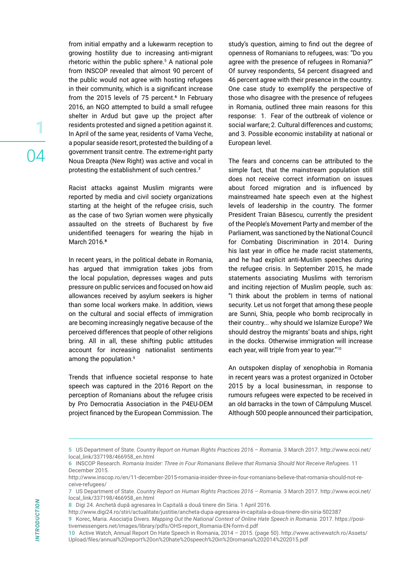from initial empathy and a lukewarm reception to growing hostility due to increasing anti-migrant rhetoric within the public sphere.<sup>5</sup> A national pole from INSCOP revealed that almost 90 percent of the public would not agree with hosting refugees in their community, which is a significant increase from the 2015 levels of 75 percent.<sup>6</sup> In February 2016, an NGO attempted to build a small refugee shelter in Ardud but gave up the project after residents protested and signed a petition against it. In April of the same year, residents of Vama Veche, a popular seaside resort, protested the building of a government transit centre. The extreme-right party Noua Dreapta (New Right) was active and vocal in protesting the establishment of such centres.7

Racist attacks against Muslim migrants were reported by media and civil society organizations starting at the height of the refugee crisis, such as the case of two Syrian women were physically assaulted on the streets of Bucharest by five unidentified teenagers for wearing the hijab in March 2016.<sup>8</sup>

In recent years, in the political debate in Romania, has argued that immigration takes jobs from the local population, depresses wages and puts pressure on public services and focused on how aid allowances received by asylum seekers is higher than some local workers make. In addition, views on the cultural and social effects of immigration are becoming increasingly negative because of the perceived differences that people of other religions bring. All in all, these shifting public attitudes account for increasing nationalist sentiments among the population.<sup>9</sup>

Trends that influence societal response to hate speech was captured in the 2016 Report on the perception of Romanians about the refugee crisis by Pro Democratia Association in the P4EU-DEM project financed by the European Commission. The

study's question, aiming to find out the degree of openness of Romanians to refugees, was: "Do you agree with the presence of refugees in Romania?" Of survey respondents, 54 percent disagreed and 46 percent agree with their presence in the country. One case study to exemplify the perspective of those who disagree with the presence of refugees in Romania, outlined three main reasons for this response: 1. Fear of the outbreak of violence or social warfare; 2. Cultural differences and customs; and 3. Possible economic instability at national or European level.

The fears and concerns can be attributed to the simple fact, that the mainstream population still does not receive correct information on issues about forced migration and is influenced by mainstreamed hate speech even at the highest levels of leadership in the country. The former President Traian Băsescu, currently the president of the People's Movement Party and member of the Parliament, was sanctioned by the National Council for Combating Discrimination in 2014. During his last year in office he made racist statements, and he had explicit anti-Muslim speeches during the refugee crisis. In September 2015, he made statements associating Muslims with terrorism and inciting rejection of Muslim people, such as: "I think about the problem in terms of national security. Let us not forget that among these people are Sunni, Shia, people who bomb reciprocally in their country... why should we Islamize Europe? We should destroy the migrants' boats and ships, right in the docks. Otherwise immigration will increase each year, will triple from year to year."10

An outspoken display of xenophobia in Romania in recent years was a protest organized in October 2015 by a local businessman, in response to rumours refugees were expected to be received in an old barracks in the town of Câmpulung Muscel. Although 500 people announced their participation,

**9** Korec, Maria. Asociația Divers. *Mapping Out the National Context of Online Hate Speech in Romania.* 2017. https://positivemessengers.net/images/library/pdfs/OHS-report\_Romania-EN-form-d.pdf

**<sup>5</sup>** US Department of State. *Country Report on Human Rights Practices 2016 – Romania.* 3 March 2017. http://www.ecoi.net/ local\_link/337198/466958\_en.html

**<sup>6</sup>** INSCOP Research. *Romania Insider: Three in Four Romanians Believe that Romania Should Not Receive Refugees.* 11 December 2015.

http://www.inscop.ro/en/11-december-2015-romania-insider-three-in-four-romanians-believe-that-romania-should-not-receive-refugees/

**<sup>7</sup>** US Department of State. *Country Report on Human Rights Practices 2016 – Romania.* 3 March 2017. http://www.ecoi.net/ local\_link/337198/466958\_en.html

**<sup>8</sup>** Digi 24. Anchetă după agresarea în Capitală a două tinere din Siria. 1 April 2016.

http://www.digi24.ro/stiri/actualitate/justitie/ancheta-dupa-agresarea-in-capitala-a-doua-tinere-din-siria-502387

**<sup>10</sup>** Active Watch, Annual Report On Hate Speech in Romania, 2014 – 2015. (page 50). http://www.activewatch.ro/Assets/ Upload/files/annual%20report%20on%20hate%20speech%20in%20romania%202014%202015.pdf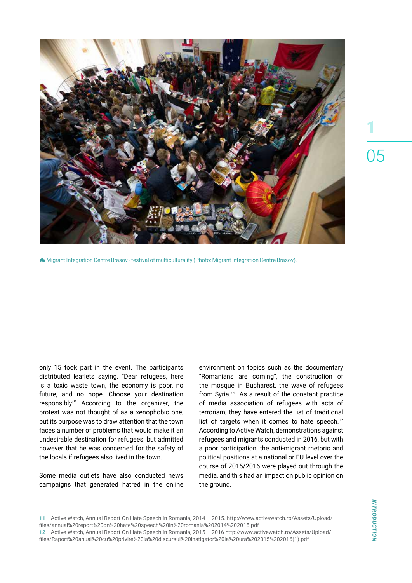

Migrant Integration Centre Brasov - festival of multiculturality (Photo: Migrant Integration Centre Brasov).

only 15 took part in the event. The participants distributed leaflets saying, "Dear refugees, here is a toxic waste town, the economy is poor, no future, and no hope. Choose your destination responsibly!" According to the organizer, the protest was not thought of as a xenophobic one, but its purpose was to draw attention that the town faces a number of problems that would make it an undesirable destination for refugees, but admitted however that he was concerned for the safety of the locals if refugees also lived in the town.

Some media outlets have also conducted news campaigns that generated hatred in the online environment on topics such as the documentary "Romanians are coming", the construction of the mosque in Bucharest, the wave of refugees from Syria.11 As a result of the constant practice of media association of refugees with acts of terrorism, they have entered the list of traditional list of targets when it comes to hate speech. $12$ According to Active Watch, demonstrations against refugees and migrants conducted in 2016, but with a poor participation, the anti-migrant rhetoric and political positions at a national or EU level over the course of 2015/2016 were played out through the media, and this had an impact on public opinion on the ground.

**11** Active Watch, Annual Report On Hate Speech in Romania, 2014 – 2015. http://www.activewatch.ro/Assets/Upload/ files/annual%20report%20on%20hate%20speech%20in%20romania%202014%202015.pdf

**12** Active Watch, Annual Report On Hate Speech in Romania, 2015 – 2016 http://www.activewatch.ro/Assets/Upload/ files/Raport%20anual%20cu%20privire%20la%20discursul%20instigator%20la%20ura%202015%202016(1).pdf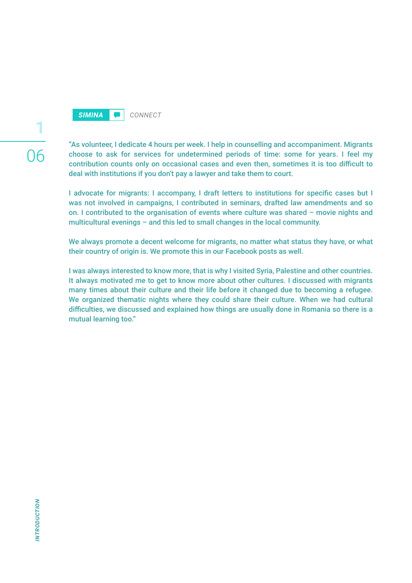

06

**1**

"As volunteer, I dedicate 4 hours per week. I help in counselling and accompaniment. Migrants choose to ask for services for undetermined periods of time: some for years. I feel my contribution counts only on occasional cases and even then, sometimes it is too difficult to deal with institutions if you don't pay a lawyer and take them to court.

I advocate for migrants: I accompany, I draft letters to institutions for specific cases but I was not involved in campaigns, I contributed in seminars, drafted law amendments and so on. I contributed to the organisation of events where culture was shared – movie nights and multicultural evenings – and this led to small changes in the local community.

We always promote a decent welcome for migrants, no matter what status they have, or what their country of origin is. We promote this in our Facebook posts as well.

I was always interested to know more, that is why I visited Syria, Palestine and other countries. It always motivated me to get to know more about other cultures. I discussed with migrants many times about their culture and their life before it changed due to becoming a refugee. We organized thematic nights where they could share their culture. When we had cultural difficulties, we discussed and explained how things are usually done in Romania so there is a mutual learning too."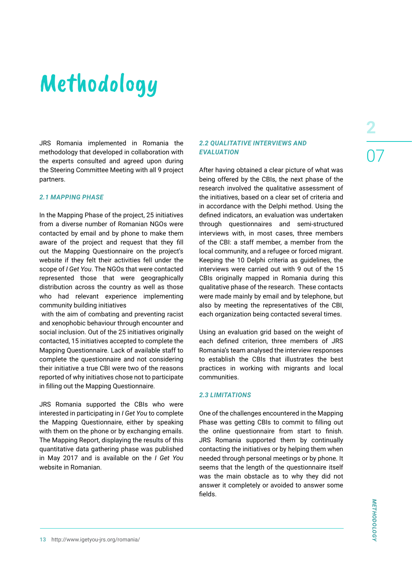# Methodology

JRS Romania implemented in Romania the methodology that developed in collaboration with the experts consulted and agreed upon during the Steering Committee Meeting with all 9 project partners.

#### *2.1 MAPPING PHASE*

In the Mapping Phase of the project, 25 initiatives from a diverse number of Romanian NGOs were contacted by email and by phone to make them aware of the project and request that they fill out the Mapping Questionnaire on the project's website if they felt their activities fell under the scope of *I Get You*. The NGOs that were contacted represented those that were geographically distribution across the country as well as those who had relevant experience implementing community building initiatives

 with the aim of combating and preventing racist and xenophobic behaviour through encounter and social inclusion. Out of the 25 initiatives originally contacted, 15 initiatives accepted to complete the Mapping Questionnaire. Lack of available staff to complete the questionnaire and not considering their initiative a true CBI were two of the reasons reported of why initiatives chose not to participate in filling out the Mapping Questionnaire.

JRS Romania supported the CBIs who were interested in participating in *I Get You* to complete the Mapping Questionnaire, either by speaking with them on the phone or by exchanging emails. The Mapping Report, displaying the results of this quantitative data gathering phase was published in May 2017 and is available on the *I Get You* website in Romanian.

#### *2.2 QUALITATIVE INTERVIEWS AND EVALUATION*

After having obtained a clear picture of what was being offered by the CBIs, the next phase of the research involved the qualitative assessment of the initiatives, based on a clear set of criteria and in accordance with the Delphi method. Using the defined indicators, an evaluation was undertaken through questionnaires and semi-structured interviews with, in most cases, three members of the CBI: a staff member, a member from the local community, and a refugee or forced migrant. Keeping the 10 Delphi criteria as guidelines, the interviews were carried out with 9 out of the 15 CBIs originally mapped in Romania during this qualitative phase of the research. These contacts were made mainly by email and by telephone, but also by meeting the representatives of the CBI, each organization being contacted several times.

Using an evaluation grid based on the weight of each defined criterion, three members of JRS Romania's team analysed the interview responses to establish the CBIs that illustrates the best practices in working with migrants and local communities.

#### *2.3 LIMITATIONS*

One of the challenges encountered in the Mapping Phase was getting CBIs to commit to filling out the online questionnaire from start to finish. JRS Romania supported them by continually contacting the initiatives or by helping them when needed through personal meetings or by phone. It seems that the length of the questionnaire itself was the main obstacle as to why they did not answer it completely or avoided to answer some fields.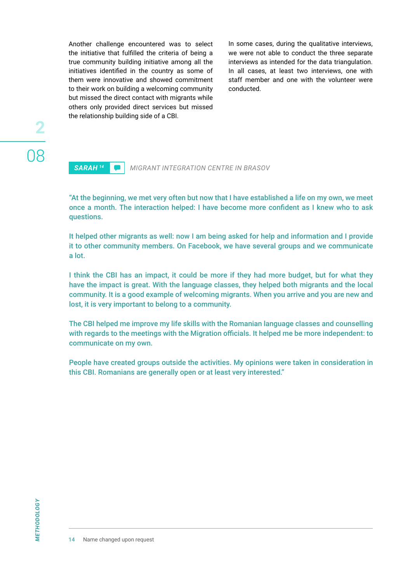Another challenge encountered was to select the initiative that fulfilled the criteria of being a true community building initiative among all the initiatives identified in the country as some of them were innovative and showed commitment to their work on building a welcoming community but missed the direct contact with migrants while others only provided direct services but missed the relationship building side of a CBI.

In some cases, during the qualitative interviews, we were not able to conduct the three separate interviews as intended for the data triangulation. In all cases, at least two interviews, one with staff member and one with the volunteer were conducted.

### *SARAH 14 MIGRANT INTEGRATION CENTRE IN BRASOV*

"At the beginning, we met very often but now that I have established a life on my own, we meet once a month. The interaction helped: I have become more confident as I knew who to ask questions.

It helped other migrants as well: now I am being asked for help and information and I provide it to other community members. On Facebook, we have several groups and we communicate a lot.

I think the CBI has an impact, it could be more if they had more budget, but for what they have the impact is great. With the language classes, they helped both migrants and the local community. It is a good example of welcoming migrants. When you arrive and you are new and lost, it is very important to belong to a community.

The CBI helped me improve my life skills with the Romanian language classes and counselling with regards to the meetings with the Migration officials. It helped me be more independent: to communicate on my own.

People have created groups outside the activities. My opinions were taken in consideration in this CBI. Romanians are generally open or at least very interested."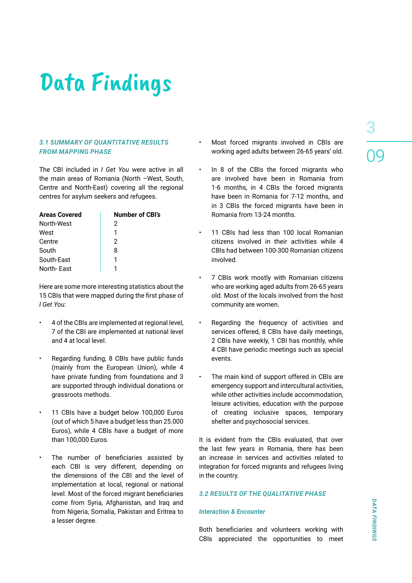# Data Findings

#### *3.1 SUMMARY OF QUANTITATIVE RESULTS FROM MAPPING PHASE*

The CBI included in *I Get You* were active in all the main areas of Romania (North –West, South, Centre and North-East) covering all the regional centres for asylum seekers and refugees.

| <b>Areas Covered</b> | <b>Number of CBI's</b> |
|----------------------|------------------------|
| North-West           | 2                      |
| West                 | 1                      |
| Centre               | 2                      |
| South                | 8                      |
| South-East           | 1                      |
| North-East           |                        |

Here are some more interesting statistics about the 15 CBIs that were mapped during the first phase of *I Get You*:

- 4 of the CBIs are implemented at regional level, 7 of the CBI are implemented at national level and 4 at local level.
- Regarding funding, 8 CBIs have public funds (mainly from the European Union), while 4 have private funding from foundations and 3 are supported through individual donations or grassroots methods.
- 11 CBIs have a budget below 100,000 Euros (out of which 5 have a budget less than 25.000 Euros), while 4 CBIs have a budget of more than 100,000 Euros.
- The number of beneficiaries assisted by each CBI is very different, depending on the dimensions of the CBI and the level of implementation at local, regional or national level. Most of the forced migrant beneficiaries come from Syria, Afghanistan, and Iraq and from Nigeria, Somalia, Pakistan and Eritrea to a lesser degree.
- Most forced migrants involved in CBIs are working aged adults between 26-65 years' old.
- In 8 of the CBIs the forced migrants who are involved have been in Romania from 1-6 months, in 4 CBIs the forced migrants have been in Romania for 7-12 months, and in 3 CBIs the forced migrants have been in Romania from 13-24 months.
- 11 CBIs had less than 100 local Romanian citizens involved in their activities while 4 CBIs had between 100-300 Romanian citizens involved.
- 7 CBIs work mostly with Romanian citizens who are working aged adults from 26-65 years old. Most of the locals involved from the host community are women.
- Regarding the frequency of activities and services offered, 8 CBIs have daily meetings, 2 CBIs have weekly, 1 CBI has monthly, while 4 CBI have periodic meetings such as special events.
- The main kind of support offered in CBIs are emergency support and intercultural activities, while other activities include accommodation, leisure activities, education with the purpose of creating inclusive spaces, temporary shelter and psychosocial services.

It is evident from the CBIs evaluated, that over the last few years in Romania, there has been an increase in services and activities related to integration for forced migrants and refugees living in the country.

#### *3.2 RESULTS OF THE QUALITATIVE PHASE*

#### *Interaction & Encounter*

Both beneficiaries and volunteers working with CBIs appreciated the opportunities to meet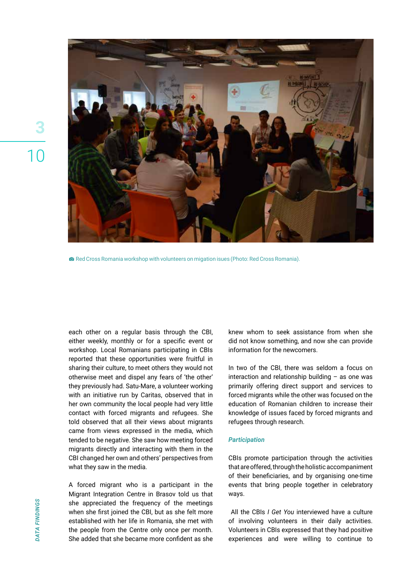

Red Cross Romania workshop with volunteers on migation isues (Photo: Red Cross Romania).

each other on a regular basis through the CBI, either weekly, monthly or for a specific event or workshop. Local Romanians participating in CBIs reported that these opportunities were fruitful in sharing their culture, to meet others they would not otherwise meet and dispel any fears of 'the other' they previously had. Satu-Mare, a volunteer working with an initiative run by Caritas, observed that in her own community the local people had very little contact with forced migrants and refugees. She told observed that all their views about migrants came from views expressed in the media, which tended to be negative. She saw how meeting forced migrants directly and interacting with them in the CBI changed her own and others' perspectives from what they saw in the media.

A forced migrant who is a participant in the Migrant Integration Centre in Brasov told us that she appreciated the frequency of the meetings when she first joined the CBI, but as she felt more established with her life in Romania, she met with the people from the Centre only once per month. She added that she became more confident as she

knew whom to seek assistance from when she did not know something, and now she can provide information for the newcomers.

In two of the CBI, there was seldom a focus on interaction and relationship building – as one was primarily offering direct support and services to forced migrants while the other was focused on the education of Romanian children to increase their knowledge of issues faced by forced migrants and refugees through research.

#### *Participation*

CBIs promote participation through the activities that are offered, through the holistic accompaniment of their beneficiaries, and by organising one-time events that bring people together in celebratory ways.

 All the CBIs *I Get You* interviewed have a culture of involving volunteers in their daily activities. Volunteers in CBIs expressed that they had positive experiences and were willing to continue to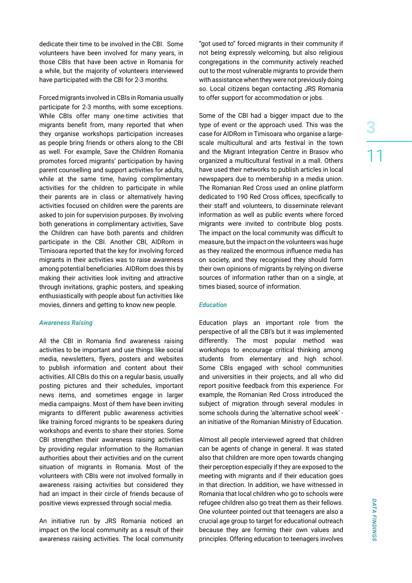dedicate their time to be involved in the CBI. Some volunteers have been involved for many years, in those CBIs that have been active in Romania for a while, but the majority of volunteers interviewed have participated with the CBI for 2-3 months.

Forced migrants involved in CBIs in Romania usually participate for 2-3 months, with some exceptions. While CBIs offer many one-time activities that migrants benefit from, many reported that when they organise workshops participation increases as people bring friends or others along to the CBI as well. For example, Save the Children Romania promotes forced migrants' participation by having parent counselling and support activities for adults, while at the same time, having complimentary activities for the children to participate in while their parents are in class or alternatively having activities focused on children were the parents are asked to join for supervision purposes. By involving both generations in complimentary activities, Save the Children can have both parents and children participate in the CBI. Another CBI, AIDRom in Timisoara reported that the key for involving forced migrants in their activities was to raise awareness among potential beneficiaries. AIDRom does this by making their activities look inviting and attractive through invitations, graphic posters, and speaking enthusiastically with people about fun activities like movies, dinners and getting to know new people.

#### *Awareness Raising*

All the CBI in Romania find awareness raising activities to be important and use things like social media, newsletters, flyers, posters and websites to publish information and content about their activities. All CBIs do this on a regular basis, usually posting pictures and their schedules, important news items, and sometimes engage in larger media campaigns. Most of them have been inviting migrants to different public awareness activities like training forced migrants to be speakers during workshops and events to share their stories. Some CBI strengthen their awareness raising activities by providing regular information to the Romanian authorities about their activities and on the current situation of migrants in Romania. Most of the volunteers with CBIs were not involved formally in awareness raising activities but considered they had an impact in their circle of friends because of positive views expressed through social media.

An initiative run by JRS Romania noticed an impact on the local community as a result of their awareness raising activities. The local community "got used to" forced migrants in their community if not being expressly welcoming, but also religious congregations in the community actively reached out to the most vulnerable migrants to provide them with assistance when they were not previously doing so. Local citizens began contacting JRS Romania to offer support for accommodation or jobs.

Some of the CBI had a bigger impact due to the type of event or the approach used. This was the case for AIDRom in Timisoara who organise a largescale multicultural and arts festival in the town and the Migrant Integration Centre in Brasov who organized a multicultural festival in a mall. Others have used their networks to publish articles in local newspapers due to membership in a media union. The Romanian Red Cross used an online platform dedicated to 190 Red Cross offices, specifically to their staff and volunteers, to disseminate relevant information as well as public events where forced migrants were invited to contribute blog posts. The impact on the local community was difficult to measure, but the impact on the volunteers was huge as they realized the enormous influence media has on society, and they recognised they should form their own opinions of migrants by relying on diverse sources of information rather than on a single, at times biased, source of information.

#### *Education*

Education plays an important role from the perspective of all the CBI's but it was implemented differently. The most popular method was workshops to encourage critical thinking among students from elementary and high school. Some CBIs engaged with school communities and universities in their projects, and all who did report positive feedback from this experience. For example, the Romanian Red Cross introduced the subject of migration through several modules in some schools during the 'alternative school week' an initiative of the Romanian Ministry of Education.

Almost all people interviewed agreed that children can be agents of change in general. It was stated also that children are more open towards changing their perception especially if they are exposed to the meeting with migrants and if their education goes in that direction. In addition, we have witnessed in Romania that local children who go to schools were refugee children also go treat them as their fellows. One volunteer pointed out that teenagers are also a crucial age group to target for educational outreach because they are forming their own values and principles. Offering education to teenagers involves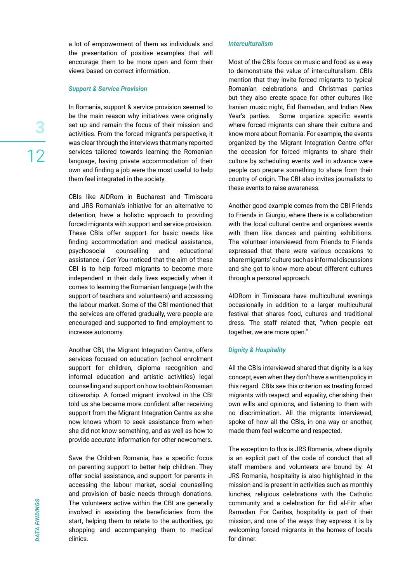a lot of empowerment of them as individuals and the presentation of positive examples that will encourage them to be more open and form their views based on correct information.

#### *Support & Service Provision*

In Romania, support & service provision seemed to be the main reason why initiatives were originally set up and remain the focus of their mission and activities. From the forced migrant's perspective, it was clear through the interviews that many reported services tailored towards learning the Romanian language, having private accommodation of their own and finding a job were the most useful to help them feel integrated in the society.

CBIs like AIDRom in Bucharest and Timisoara and JRS Romania's initiative for an alternative to detention, have a holistic approach to providing forced migrants with support and service provision. These CBIs offer support for basic needs like finding accommodation and medical assistance, psychosocial counselling and educational assistance. *I Get You* noticed that the aim of these CBI is to help forced migrants to become more independent in their daily lives especially when it comes to learning the Romanian language (with the support of teachers and volunteers) and accessing the labour market. Some of the CBI mentioned that the services are offered gradually, were people are encouraged and supported to find employment to increase autonomy.

Another CBI, the Migrant Integration Centre, offers services focused on education (school enrolment support for children, diploma recognition and informal education and artistic activities) legal counselling and support on how to obtain Romanian citizenship. A forced migrant involved in the CBI told us she became more confident after receiving support from the Migrant Integration Centre as she now knows whom to seek assistance from when she did not know something, and as well as how to provide accurate information for other newcomers.

Save the Children Romania, has a specific focus on parenting support to better help children. They offer social assistance, and support for parents in accessing the labour market, social counselling and provision of basic needs through donations. The volunteers active within the CBI are generally involved in assisting the beneficiaries from the start, helping them to relate to the authorities, go shopping and accompanying them to medical clinics.

#### *Interculturalism*

Most of the CBIs focus on music and food as a way to demonstrate the value of interculturalism. CBIs mention that they invite forced migrants to typical Romanian celebrations and Christmas parties but they also create space for other cultures like Iranian music night, Eid Ramadan, and Indian New Year's parties. Some organize specific events where forced migrants can share their culture and know more about Romania. For example, the events organized by the Migrant Integration Centre offer the occasion for forced migrants to share their culture by scheduling events well in advance were people can prepare something to share from their country of origin. The CBI also invites journalists to these events to raise awareness.

Another good example comes from the CBI Friends to Friends in Giurgiu, where there is a collaboration with the local cultural centre and organises events with them like dances and painting exhibitions. The volunteer interviewed from Friends to Friends expressed that there were various occasions to share migrants' culture such as informal discussions and she got to know more about different cultures through a personal approach.

AIDRom in Timisoara have multicultural evenings occasionally in addition to a larger multicultural festival that shares food, cultures and traditional dress. The staff related that, "when people eat together, we are more open."

#### *Dignity & Hospitality*

All the CBIs interviewed shared that dignity is a key concept, even when they don't have a written policy in this regard. CBIs see this criterion as treating forced migrants with respect and equality, cherishing their own wills and opinions, and listening to them with no discrimination. All the migrants interviewed, spoke of how all the CBIs, in one way or another, made them feel welcome and respected.

The exception to this is JRS Romania, where dignity is an explicit part of the code of conduct that all staff members and volunteers are bound by. At JRS Romania, hospitality is also highlighted in the mission and is present in activities such as monthly lunches, religious celebrations with the Catholic community and a celebration for Eid al-Fitr after Ramadan. For Caritas, hospitality is part of their mission, and one of the ways they express it is by welcoming forced migrants in the homes of locals for dinner.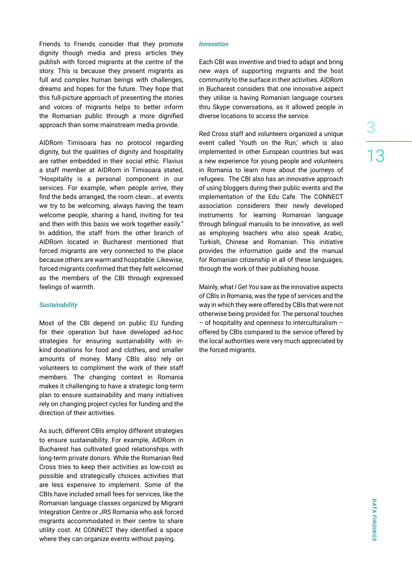Friends to Friends consider that they promote dignity though media and press articles they publish with forced migrants at the centre of the story. This is because they present migrants as full and complex human beings with challenges, dreams and hopes for the future. They hope that this full-picture approach of presenting the stories and voices of migrants helps to better inform the Romanian public through a more dignified approach than some mainstream media provide.

AIDRom Timisoara has no protocol regarding dignity, but the qualities of dignity and hospitality are rather embedded in their social ethic. Flavius a staff member at AIDRom in Timisoara stated, "Hospitality is a personal component in our services. For example, when people arrive, they find the beds arranged, the room clean… at events we try to be welcoming, always having the team welcome people, sharing a hand, inviting for tea and then with this basis we work together easily." In addition, the staff from the other branch of AIDRom located in Bucharest mentioned that forced migrants are very connected to the place because others are warm and hospitable. Likewise, forced migrants confirmed that they felt welcomed as the members of the CBI through expressed feelings of warmth.

#### *Sustainability*

Most of the CBI depend on public EU funding for their operation but have developed ad-hoc strategies for ensuring sustainability with inkind donations for food and clothes, and smaller amounts of money. Many CBIs also rely on volunteers to compliment the work of their staff members. The changing context in Romania makes it challenging to have a strategic long-term plan to ensure sustainability and many initiatives rely on changing project cycles for funding and the direction of their activities.

As such, different CBIs employ different strategies to ensure sustainability. For example, AIDRom in Bucharest has cultivated good relationships with long-term private donors. While the Romanian Red Cross tries to keep their activities as low-cost as possible and strategically choices activities that are less expensive to implement. Some of the CBIs have included small fees for services, like the Romanian language classes organized by Migrant Integration Centre or JRS Romania who ask forced migrants accommodated in their centre to share utility cost. At CONNECT they identified a space where they can organize events without paying.

#### *Innovation*

Each CBI was inventive and tried to adapt and bring new ways of supporting migrants and the host community to the surface in their activities. AIDRom in Bucharest considers that one innovative aspect they utilise is having Romanian language courses thru Skype conversations, as it allowed people in diverse locations to access the service.

Red Cross staff and volunteers organized a unique event called 'Youth on the Run,' which is also implemented in other European countries but was a new experience for young people and volunteers in Romania to learn more about the journeys of refugees. The CBI also has an innovative approach of using bloggers during their public events and the implementation of the Edu Cafe. The CONNECT association considerers their newly developed instruments for learning Romanian language through bilingual manuals to be innovative, as well as employing teachers who also speak Arabic, Turkish, Chinese and Romanian. This initiative provides the information guide and the manual for Romanian citizenship in all of these languages, through the work of their publishing house.

Mainly, what *I Get You* saw as the innovative aspects of CBIs in Romania, was the type of services and the way in which they were offered by CBIs that were not otherwise being provided for. The personal touches – of hospitality and openness to interculturalism – offered by CBIs compared to the service offered by the local authorities were very much appreciated by the forced migrants.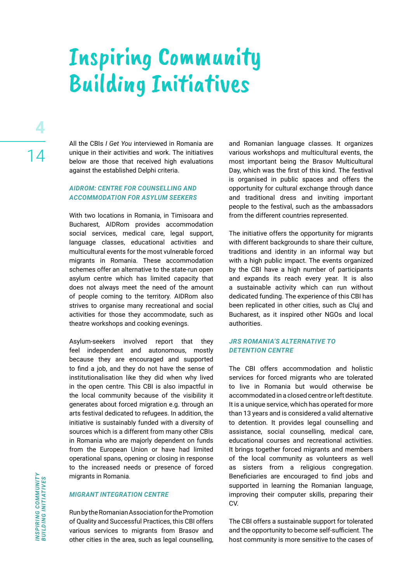# Inspiring Community Building Initiatives

All the CBIs *I Get You* interviewed in Romania are unique in their activities and work. The initiatives below are those that received high evaluations against the established Delphi criteria.

#### *AIDROM: CENTRE FOR COUNSELLING AND ACCOMMODATION FOR ASYLUM SEEKERS*

With two locations in Romania, in Timisoara and Bucharest, AIDRom provides accommodation social services, medical care, legal support, language classes, educational activities and multicultural events for the most vulnerable forced migrants in Romania. These accommodation schemes offer an alternative to the state-run open asylum centre which has limited capacity that does not always meet the need of the amount of people coming to the territory. AIDRom also strives to organise many recreational and social activities for those they accommodate, such as theatre workshops and cooking evenings.

Asylum-seekers involved report that they feel independent and autonomous, mostly because they are encouraged and supported to find a job, and they do not have the sense of institutionalisation like they did when why lived in the open centre. This CBI is also impactful in the local community because of the visibility it generates about forced migration e.g. through an arts festival dedicated to refugees. In addition, the initiative is sustainably funded with a diversity of sources which is a different from many other CBIs in Romania who are majorly dependent on funds from the European Union or have had limited operational spans, opening or closing in response to the increased needs or presence of forced migrants in Romania.

#### *MIGRANT INTEGRATION CENTRE*

Run by the Romanian Association for the Promotion of Quality and Successful Practices, this CBI offers various services to migrants from Brasov and other cities in the area, such as legal counselling, and Romanian language classes. It organizes various workshops and multicultural events, the most important being the Brasov Multicultural Day, which was the first of this kind. The festival is organised in public spaces and offers the opportunity for cultural exchange through dance and traditional dress and inviting important people to the festival, such as the ambassadors from the different countries represented.

The initiative offers the opportunity for migrants with different backgrounds to share their culture, traditions and identity in an informal way but with a high public impact. The events organized by the CBI have a high number of participants and expands its reach every year. It is also a sustainable activity which can run without dedicated funding. The experience of this CBI has been replicated in other cities, such as Cluj and Bucharest, as it inspired other NGOs and local authorities.

#### *JRS ROMANIA'S ALTERNATIVE TO DETENTION CENTRE*

The CBI offers accommodation and holistic services for forced migrants who are tolerated to live in Romania but would otherwise be accommodated in a closed centre or left destitute. It is a unique service, which has operated for more than 13 years and is considered a valid alternative to detention. It provides legal counselling and assistance, social counselling, medical care, educational courses and recreational activities. It brings together forced migrants and members of the local community as volunteers as well as sisters from a religious congregation. Beneficiaries are encouraged to find jobs and supported in learning the Romanian language, improving their computer skills, preparing their CV.

The CBI offers a sustainable support for tolerated and the opportunity to become self-sufficient. The host community is more sensitive to the cases of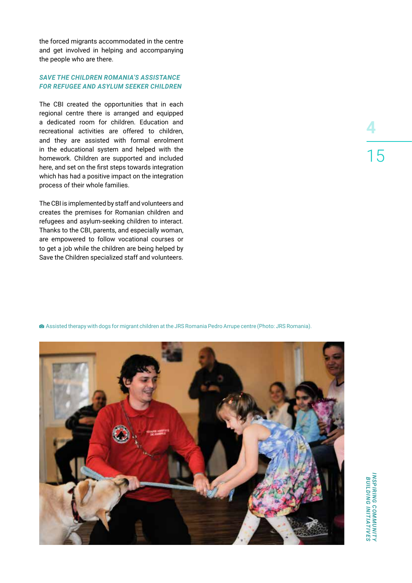the forced migrants accommodated in the centre and get involved in helping and accompanying the people who are there.

#### *SAVE THE CHILDREN ROMANIA'S ASSISTANCE FOR REFUGEE AND ASYLUM SEEKER CHILDREN*

The CBI created the opportunities that in each regional centre there is arranged and equipped a dedicated room for children. Education and recreational activities are offered to children, and they are assisted with formal enrolment in the educational system and helped with the homework. Children are supported and included here, and set on the first steps towards integration which has had a positive impact on the integration process of their whole families.

The CBI is implemented by staff and volunteers and creates the premises for Romanian children and refugees and asylum-seeking children to interact. Thanks to the CBI, parents, and especially woman, are empowered to follow vocational courses or to get a job while the children are being helped by Save the Children specialized staff and volunteers.

Assisted therapy with dogs for migrant children at the JRS Romania Pedro Arrupe centre (Photo: JRS Romania).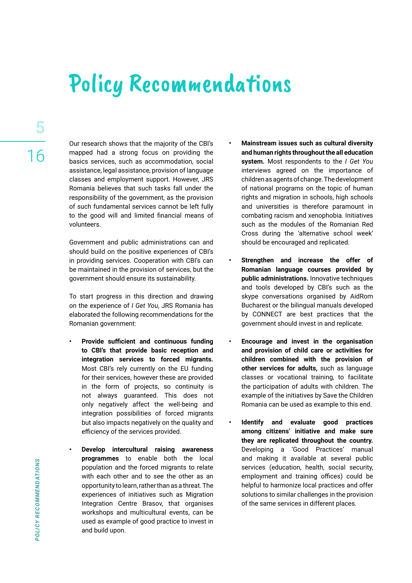### Policy Recommendations

Our research shows that the majority of the CBI's mapped had a strong focus on providing the basics services, such as accommodation, social assistance, legal assistance, provision of language classes and employment support. However, JRS Romania believes that such tasks fall under the responsibility of the government, as the provision of such fundamental services cannot be left fully to the good will and limited financial means of volunteers.

Government and public administrations can and should build on the positive experiences of CBI's in providing services. Cooperation with CBI's can be maintained in the provision of services, but the government should ensure its sustainability.

To start progress in this direction and drawing on the experience of *I Get You*, JRS Romania has elaborated the following recommendations for the Romanian government:

- **• Provide sufficient and continuous funding to CBI's that provide basic reception and integration services to forced migrants.**  Most CBI's rely currently on the EU funding for their services, however these are provided in the form of projects, so continuity is not always guaranteed. This does not only negatively affect the well-being and integration possibilities of forced migrants but also impacts negatively on the quality and efficiency of the services provided.
- **• Develop intercultural raising awareness programmes** to enable both the local population and the forced migrants to relate with each other and to see the other as an opportunity to learn, rather than as a threat. The experiences of initiatives such as Migration Integration Centre Brasov, that organises workshops and multicultural events, can be used as example of good practice to invest in and build upon.
- **• Mainstream issues such as cultural diversity and human rights throughout the all education system.** Most respondents to the *I Get You* interviews agreed on the importance of children as agents of change. The development of national programs on the topic of human rights and migration in schools, high schools and universities is therefore paramount in combating racism and xenophobia. Initiatives such as the modules of the Romanian Red Cross during the 'alternative school week' should be encouraged and replicated.
- **• Strengthen and increase the offer of Romanian language courses provided by public administrations.** Innovative techniques and tools developed by CBI's such as the skype conversations organised by AidRom Bucharest or the bilingual manuals developed by CONNECT are best practices that the government should invest in and replicate.
- **• Encourage and invest in the organisation and provision of child care or activities for children combined with the provision of other services for adults,** such as language classes or vocational training, to facilitate the participation of adults with children. The example of the initiatives by Save the Children Romania can be used as example to this end.
- **• Identify and evaluate good practices among citizens' initiative and make sure they are replicated throughout the country.** Developing a 'Good Practices' manual and making it available at several public services (education, health, social security, employment and training offices) could be helpful to harmonize local practices and offer solutions to similar challenges in the provision of the same services in different places.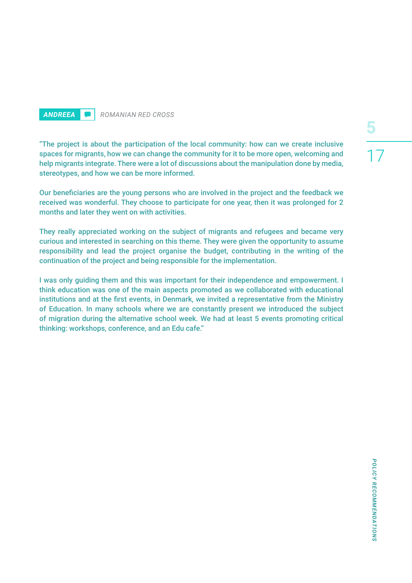### *ANDREEA ROMANIAN RED CROSS*

"The project is about the participation of the local community: how can we create inclusive spaces for migrants, how we can change the community for it to be more open, welcoming and help migrants integrate. There were a lot of discussions about the manipulation done by media, stereotypes, and how we can be more informed.

Our beneficiaries are the young persons who are involved in the project and the feedback we received was wonderful. They choose to participate for one year, then it was prolonged for 2 months and later they went on with activities.

They really appreciated working on the subject of migrants and refugees and became very curious and interested in searching on this theme. They were given the opportunity to assume responsibility and lead the project organise the budget, contributing in the writing of the continuation of the project and being responsible for the implementation.

I was only guiding them and this was important for their independence and empowerment. I think education was one of the main aspects promoted as we collaborated with educational institutions and at the first events, in Denmark, we invited a representative from the Ministry of Education. In many schools where we are constantly present we introduced the subject of migration during the alternative school week. We had at least 5 events promoting critical thinking: workshops, conference, and an Edu cafe."